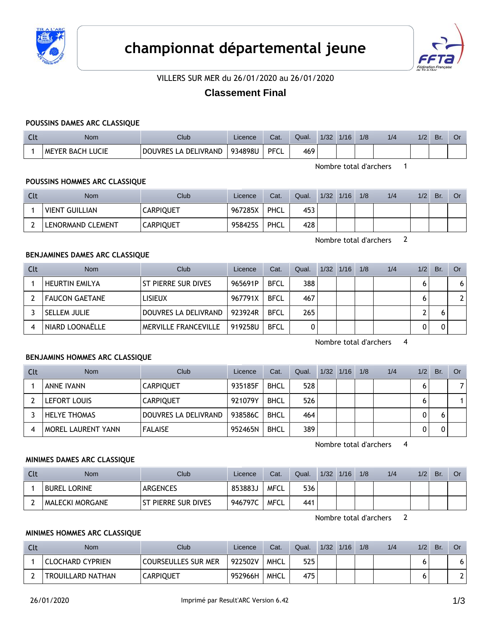



VILLERS SUR MER du 26/01/2020 au 26/01/2020

# **Classement Final**

#### **POUSSINS DAMES ARC CLASSIQUE**

| นเ | Nom                     | Club                           | Licence | Cat. | Qual. | 1/32 | 1/16 | 1/8 | 1/2 | 1/2 | Br | Ül |
|----|-------------------------|--------------------------------|---------|------|-------|------|------|-----|-----|-----|----|----|
|    | <b>MEYER BACH LUCIE</b> | LA DELIVRAND<br><b>DOUVRES</b> | 934898U | PFCL | 469   |      |      |     |     |     |    |    |

Nombre total d'archers 1

### **POUSSINS HOMMES ARC CLASSIQUE**

| Clt | Nom                   | Club             | Licence | Cat. | Qual. | 1/32 | 1/16 | 1/8 | 1/4 | 1/2 | Br. | Or |
|-----|-----------------------|------------------|---------|------|-------|------|------|-----|-----|-----|-----|----|
|     | <b>VIENT GUILLIAN</b> | <b>CARPIQUET</b> | 967285X | PHCL | 453   |      |      |     |     |     |     |    |
|     | LENORMAND CLEMENT     | <b>CARPIQUET</b> | 958425S | PHCL | 428   |      |      |     |     |     |     |    |

Nombre total d'archers 2

#### **BENJAMINES DAMES ARC CLASSIQUE**

| Clt | <b>Nom</b>            | Club                 | Licence | Cat.        | Qual. | 1/32 | 1/16 | 1/8 | 1/4 | 1/2 | Br. | <b>Or</b> |
|-----|-----------------------|----------------------|---------|-------------|-------|------|------|-----|-----|-----|-----|-----------|
|     | <b>HEURTIN EMILYA</b> | ST PIERRE SUR DIVES  | 965691P | <b>BFCL</b> | 388   |      |      |     |     |     |     | 6         |
|     | FAUCON GAETANE        | <b>LISIEUX</b>       | 967791X | <b>BFCL</b> | 467   |      |      |     |     |     |     |           |
|     | <b>SELLEM JULIE</b>   | DOUVRES LA DELIVRAND | 923924R | <b>BFCL</b> | 265   |      |      |     |     |     |     |           |
| 4   | NIARD LOONAËLLE       | MERVILLE FRANCEVILLE | 919258U | <b>BFCL</b> |       |      |      |     |     |     |     |           |

Nombre total d'archers 4

### **BENJAMINS HOMMES ARC CLASSIQUE**

| Clt | <b>Nom</b>                | Club                 | Licence | Cat.        | Qual. | $1/32$ $1/16$ | 1/8 | 1/4 | 1/2 | Br. | Or |
|-----|---------------------------|----------------------|---------|-------------|-------|---------------|-----|-----|-----|-----|----|
|     | ANNE IVANN                | <b>CARPIQUET</b>     | 935185F | <b>BHCL</b> | 528   |               |     |     |     |     | 7  |
|     | LEFORT LOUIS              | <b>CARPIQUET</b>     | 921079Y | <b>BHCL</b> | 526   |               |     |     | 6   |     |    |
|     | <b>HELYE THOMAS</b>       | DOUVRES LA DELIVRAND | 938586C | <b>BHCL</b> | 464   |               |     |     | 0   |     |    |
|     | <b>MOREL LAURENT YANN</b> | <b>FALAISE</b>       | 952465N | <b>BHCL</b> | 389   |               |     |     | 0   |     |    |

Nombre total d'archers 4

### **MINIMES DAMES ARC CLASSIQUE**

| Clt | <b>Nom</b>             | Club                 | Licence | Cat. | Qual. | 1/32 | 1/16 | 1/8 | 1/4 | 1/2 | Br. | Or |
|-----|------------------------|----------------------|---------|------|-------|------|------|-----|-----|-----|-----|----|
|     | <b>BUREL LORINE</b>    | <b>ARGENCES</b>      | 853883J | MFCL | 536   |      |      |     |     |     |     |    |
|     | <b>MALECKI MORGANE</b> | t pierre sur dives " | 946797C | MFCL | 441   |      |      |     |     |     |     |    |

Nombre total d'archers 2

#### **MINIMES HOMMES ARC CLASSIQUE**

| Clt | <b>Nom</b>               | <b>Club</b>                | Licence | Cat.        | Qual. | 1/32 | 1/16 | 1/8 | 1/4 | 1/2 | Br. | Or  |
|-----|--------------------------|----------------------------|---------|-------------|-------|------|------|-----|-----|-----|-----|-----|
|     | ' CLOCHARD CYPRIEN       | <b>COURSEULLES SUR MER</b> | 922502V | MHCL        | 525   |      |      |     |     |     |     | ו ס |
|     | <b>TROUILLARD NATHAN</b> | <b>CARPIQUET</b>           | 952966H | <b>MHCL</b> | 475   |      |      |     |     |     |     | າເ  |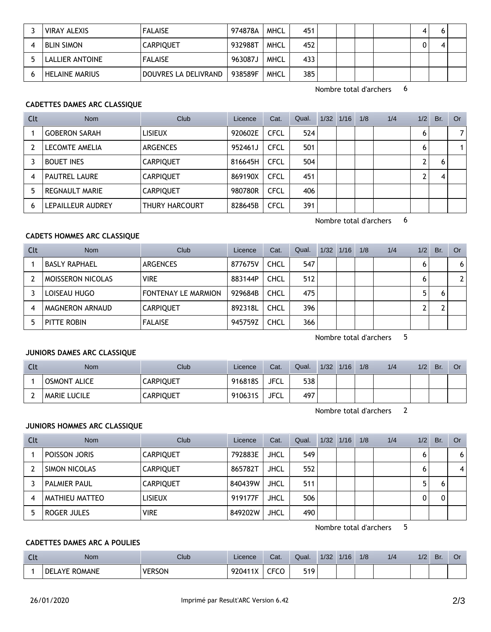| <b>VIRAY ALEXIS</b>   | <b>FALAISE</b>       | 974878A | MHCL        | 451 |  | 4 |  |
|-----------------------|----------------------|---------|-------------|-----|--|---|--|
| <b>BLIN SIMON</b>     | <b>CARPIQUET</b>     | 932988T | MHCL        | 452 |  |   |  |
| LALLIER ANTOINE       | <b>FALAISE</b>       | 963087J | <b>MHCL</b> | 433 |  |   |  |
| <b>HELAINE MARIUS</b> | DOUVRES LA DELIVRAND | 938589F | MHCL        | 385 |  |   |  |

Nombre total d'archers 6

### **CADETTES DAMES ARC CLASSIQUE**

| Clt | <b>Nom</b>            | Club                  | Licence | Cat.        | Qual. | $1/32$ $1/16$ | 1/8 | 1/4 | 1/2 | Br. | Or |
|-----|-----------------------|-----------------------|---------|-------------|-------|---------------|-----|-----|-----|-----|----|
|     | <b>GOBERON SARAH</b>  | <b>LISIEUX</b>        | 920602E | <b>CFCL</b> | 524   |               |     |     | 6   |     | 7  |
|     | LECOMTE AMELIA        | <b>ARGENCES</b>       | 952461J | <b>CFCL</b> | 501   |               |     |     | 6   |     | 1  |
|     | <b>BOUET INES</b>     | <b>CARPIQUET</b>      | 816645H | <b>CFCL</b> | 504   |               |     |     |     |     |    |
| 4   | <b>PAUTREL LAURE</b>  | <b>CARPIQUET</b>      | 869190X | <b>CFCL</b> | 451   |               |     |     |     |     |    |
|     | <b>REGNAULT MARIE</b> | <b>CARPIQUET</b>      | 980780R | <b>CFCL</b> | 406   |               |     |     |     |     |    |
| 6   | LEPAILLEUR AUDREY     | <b>THURY HARCOURT</b> | 828645B | <b>CFCL</b> | 391   |               |     |     |     |     |    |

Nombre total d'archers 6

### **CADETS HOMMES ARC CLASSIQUE**

| Clt | <b>Nom</b>               | Club                       | Licence | Cat.        | Qual. | 1/32 | 1/16 | 1/8 | 1/4 | 1/2 | Br. | Or             |
|-----|--------------------------|----------------------------|---------|-------------|-------|------|------|-----|-----|-----|-----|----------------|
|     | <b>BASLY RAPHAEL</b>     | <b>ARGENCES</b>            | 877675V | <b>CHCL</b> | 547   |      |      |     |     | 6   |     | 6 <sup>1</sup> |
|     | <b>MOISSERON NICOLAS</b> | <b>VIRE</b>                | 883144P | <b>CHCL</b> | 512   |      |      |     |     | 6   |     | 21             |
|     | LOISEAU HUGO             | <b>FONTENAY LE MARMION</b> | 929684B | <b>CHCL</b> | 475   |      |      |     |     |     |     |                |
| 4   | MAGNERON ARNAUD          | <b>CARPIQUET</b>           | 892318L | <b>CHCL</b> | 396   |      |      |     |     |     |     |                |
|     | PITTE ROBIN              | <b>FALAISE</b>             | 945759Z | <b>CHCL</b> | 366   |      |      |     |     |     |     |                |

Nombre total d'archers 5

#### **JUNIORS DAMES ARC CLASSIQUE**

| Cli | <b>Nom</b>          | Club             | Licence | Cat.        | Qual. | 1/32 | 1/16 | 1/8 | 1/4 | 1/2 | Br. | Or |
|-----|---------------------|------------------|---------|-------------|-------|------|------|-----|-----|-----|-----|----|
|     | <b>OSMONT ALICE</b> | <b>CARPIQUET</b> | 916818S | <b>JFCL</b> | 538   |      |      |     |     |     |     |    |
|     | <b>MARIE LUCILE</b> | <b>CARPIQUET</b> | 910631S | <b>JFCL</b> | 497   |      |      |     |     |     |     |    |

Nombre total d'archers 2

#### **JUNIORS HOMMES ARC CLASSIQUE**

| Clt | <b>Nom</b>          | Club             | Licence | Cat.        | Qual. | $1/32$ $1/16$ | 1/8 | 1/4 | 1/2 | Br. | Or             |
|-----|---------------------|------------------|---------|-------------|-------|---------------|-----|-----|-----|-----|----------------|
|     | POISSON JORIS       | <b>CARPIQUET</b> | 792883E | <b>JHCL</b> | 549   |               |     |     | 6   |     | 6 <sup>1</sup> |
|     | SIMON NICOLAS       | <b>CARPIQUET</b> | 865782T | <b>JHCL</b> | 552   |               |     |     | b   |     | 4              |
|     | <b>PALMIER PAUL</b> | <b>CARPIQUET</b> | 840439W | <b>JHCL</b> | 511   |               |     |     | 5   |     |                |
|     | MATHIEU MATTEO      | <b>LISIEUX</b>   | 919177F | <b>JHCL</b> | 506   |               |     |     | 0   |     |                |
|     | ROGER JULES         | <b>VIRE</b>      | 849202W | <b>JHCL</b> | 490   |               |     |     |     |     |                |

Nombre total d'archers 5

## **CADETTES DAMES ARC A POULIES**

| $\sim$<br><b>Contract Contract</b> | <b>Nom</b>                | Club          | Licence | Cat.                   | Qual.             | 1/32 | 1/16 | 1/8 | 1/4 | 10 <sup>o</sup><br>17 Z | Br. | OI |
|------------------------------------|---------------------------|---------------|---------|------------------------|-------------------|------|------|-----|-----|-------------------------|-----|----|
|                                    | . ROMANE<br><b>DELAYE</b> | <b>VERSON</b> | 920411X | <b>CECO</b><br>ĊĊ<br>◡ | 510<br><u>JIJ</u> |      |      |     |     |                         |     |    |